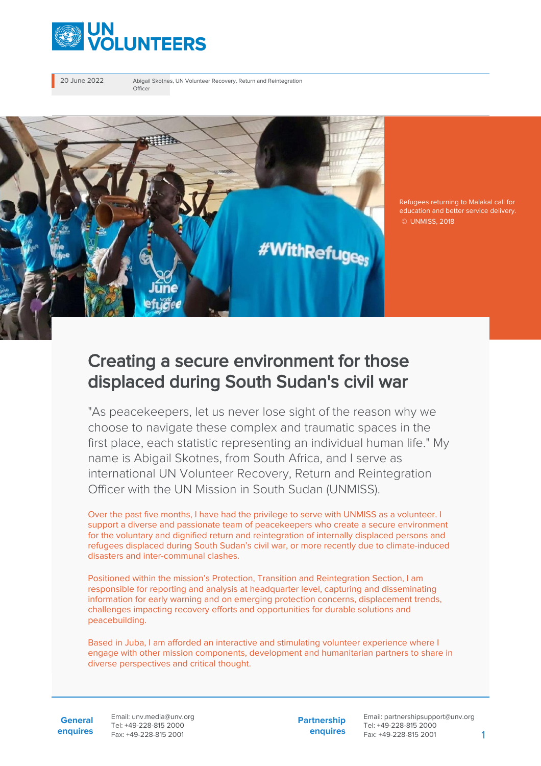

20 June 2022 Abigail Skotnes, UN Volunteer Recovery, Return and Reintegration Officer



Refugees returning to Malakal call for education and better service delivery. © UNMISS, 2018

## Creating a secure environment for those displaced during South Sudan's civil war

"As peacekeepers, let us never lose sight of the reason why we choose to navigate these complex and traumatic spaces in the first place, each statistic representing an individual human life." My name is Abigail Skotnes, from South Africa, and I serve as international UN Volunteer Recovery, Return and Reintegration Officer with the UN Mission in South Sudan (UNMISS).

Over the past five months, I have had the privilege to serve with UNMISS as a volunteer. I support a diverse and passionate team of peacekeepers who create a secure environment for the voluntary and dignified return and reintegration of internally displaced persons and refugees displaced during South Sudan's civil war, or more recently due to climate-induced disasters and inter-communal clashes.

Positioned within the mission's Protection, Transition and Reintegration Section, I am responsible for reporting and analysis at headquarter level, capturing and disseminating information for early warning and on emerging protection concerns, displacement trends, challenges impacting recovery efforts and opportunities for durable solutions and peacebuilding.

Based in Juba, I am afforded an interactive and stimulating volunteer experience where I engage with other mission components, development and humanitarian partners to share in diverse perspectives and critical thought.

**General enquires** Email: unv.media@unv.org Tel: +49-228-815 2000 Fax: +49-228-815 2001

**Partnership enquires**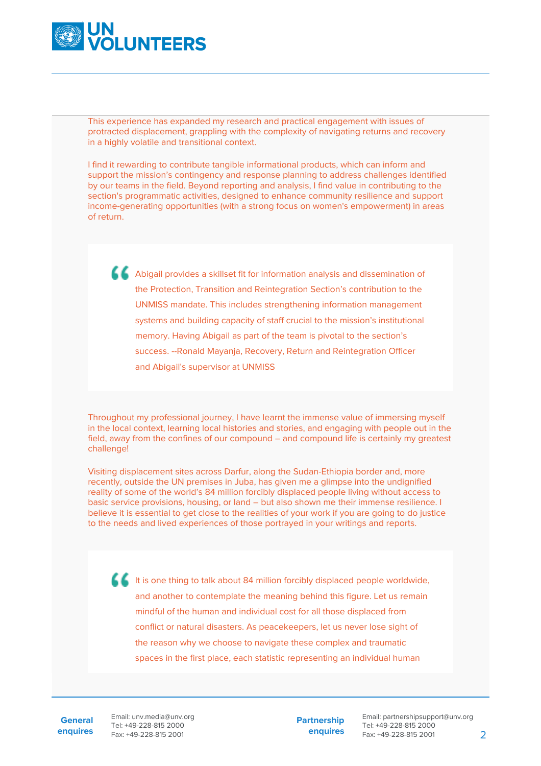

This experience has expanded my research and practical engagement with issues of protracted displacement, grappling with the complexity of navigating returns and recovery in a highly volatile and transitional context.

I find it rewarding to contribute tangible informational products, which can inform and support the mission's contingency and response planning to address challenges identified by our teams in the field. Beyond reporting and analysis, I find value in contributing to the section's programmatic activities, designed to enhance community resilience and support income-generating opportunities (with a strong focus on women's empowerment) in areas of return.

Abigail provides a skillset fit for information analysis and dissemination of the Protection, Transition and Reintegration Section's contribution to the UNMISS mandate. This includes strengthening information management systems and building capacity of staff crucial to the mission's institutional memory. Having Abigail as part of the team is pivotal to the section's success. --Ronald Mayanja, Recovery, Return and Reintegration Officer and Abigail's supervisor at UNMISS

Throughout my professional journey, I have learnt the immense value of immersing myself in the local context, learning local histories and stories, and engaging with people out in the field, away from the confines of our compound – and compound life is certainly my greatest challenge!

Visiting displacement sites across Darfur, along the Sudan-Ethiopia border and, more recently, outside the UN premises in Juba, has given me a glimpse into the undignified reality of some of the world's 84 million forcibly displaced people living without access to basic service provisions, housing, or land – but also shown me their immense resilience. I believe it is essential to get close to the realities of your work if you are going to do justice to the needs and lived experiences of those portrayed in your writings and reports.

It is one thing to talk about 84 million forcibly displaced people worldwide, and another to contemplate the meaning behind this figure. Let us remain mindful of the human and individual cost for all those displaced from conflict or natural disasters. As peacekeepers, let us never lose sight of the reason why we choose to navigate these complex and traumatic spaces in the first place, each statistic representing an individual human

**General enquires** Email: unv.media@unv.org Tel: +49-228-815 2000 Fax: +49-228-815 2001

**Partnership enquires**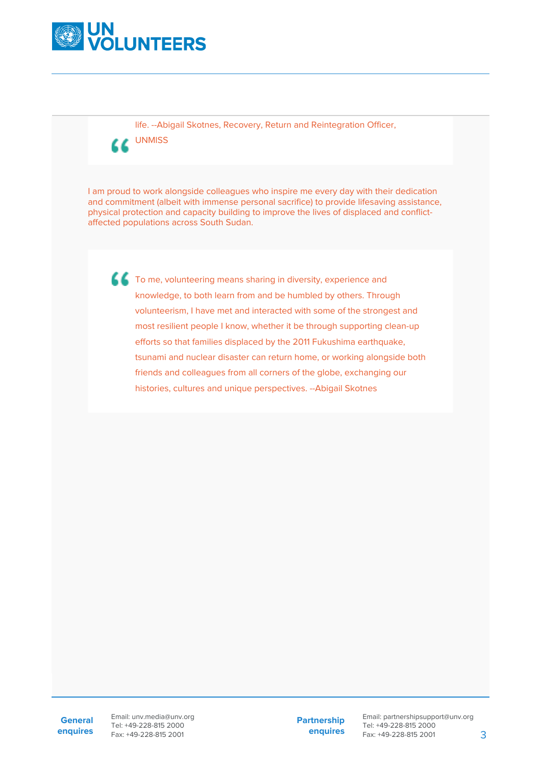

life. --Abigail Skotnes, Recovery, Return and Reintegration Officer,

UNMISS

I am proud to work alongside colleagues who inspire me every day with their dedication and commitment (albeit with immense personal sacrifice) to provide lifesaving assistance, physical protection and capacity building to improve the lives of displaced and conflictaffected populations across South Sudan.

To me, volunteering means sharing in diversity, experience and knowledge, to both learn from and be humbled by others. Through volunteerism, I have met and interacted with some of the strongest and most resilient people I know, whether it be through supporting clean-up efforts so that families displaced by the 2011 Fukushima earthquake, tsunami and nuclear disaster can return home, or working alongside both friends and colleagues from all corners of the globe, exchanging our histories, cultures and unique perspectives. --Abigail Skotnes

Email: unv.media@unv.org Tel: +49-228-815 2000 Fax: +49-228-815 2001

**Partnership enquires**